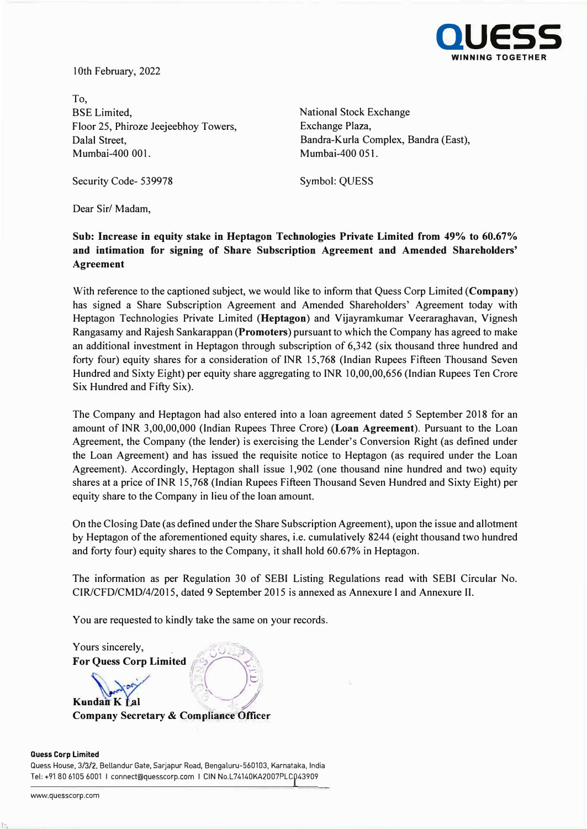

10th February, 2022

To, BSE Limited, National Stock Exchange Floor 25, Phiroze Jeejeebhoy Towers, Dalal Street, Mumbai-400 001.

Exchange Plaza, Bandra-Kurla Complex, Bandra (East), Mumbai-400 051.

Security Code- 539978 Symbol: QUESS

Dear Sir/ Madam,

### **Sub: Increase in equity stake in Heptagon Technologies Private Limited from 49% to 60.67% and intimation for signing of Share Subscription Agreement and Amended Shareholders' Agreement**

With reference to the captioned subject, we would like to inform that Quess Corp Limited **(Company)** has signed a Share Subscription Agreement and Amended Shareholders' Agreement today with Heptagon Technologies Private Limited **(Heptagon)** and Vijayramkumar Veeraraghavan, Vignesh Rangasamy and Rajesh Sankarappan **(Promoters)** pursuant to which the Company has agreed to make an additional investment in Heptagon through subscription of 6,342 (six thousand three hundred and forty four) equity shares for a consideration of INR 15,768 (Indian Rupees Fifteen Thousand Seven Hundred and Sixty Eight) per equity share aggregating to INR 10,00,00,656 (Indian Rupees Ten Crore Six Hundred and Fifty Six).

The Company and Heptagon had also entered into a loan agreement dated 5 September 2018 for an amount of INR 3,00,00,000 (Indian Rupees Three Crore) **(Loan Agreement).** Pursuant to the Loan Agreement, the Company (the lender) is exercising the Lender's Conversion Right (as defined under the Loan Agreement) and has issued the requisite notice to Heptagon (as required under the Loan Agreement). Accordingly, Heptagon shall issue 1,902 (one thousand nine hundred and two) equity shares at a price of INR 15,768 (Indian Rupees Fifteen Thousand Seven Hundred and Sixty Eight) per equity share to the Company in lieu of the loan amount.

On the Closing Date (as defined under the Share Subscription Agreement), upon the issue and allotment by Heptagon of the aforementioned equity shares, i.e. cumulatively 8244 (eight thousand two hundred and forty four) equity shares to the Company, it shall hold 60.67% in Heptagon.

The information as per Regulation 30 of SEBI Listing Regulations read with SEBI Circular No. CIR/CFD/CMD/4/2015, dated 9 September 2015 is annexed as Annexure I and Annexure II.

You are requested to kindly take the same on your records.

Yours sincerely, For Quess Corp Limited **for Collection**  $0 - 3$ (SO<sub>A)</sub> *,r*   $\mathbb{R}$  -  $\mathbb{R}$ *I/*  **Kundan K Lal - \_ -/ Company Secretary & ComplianceOfficer**

#### **Quess Corp Limited**

Quess House, 3/3/2, Bellandur Gate, Sarjapur Road, Bengaluru-560103, Karnataka, India Tel: +91 80 6105 6001 I connect@quesscorp.com I GIN No.L74140KA2007PLCP 43909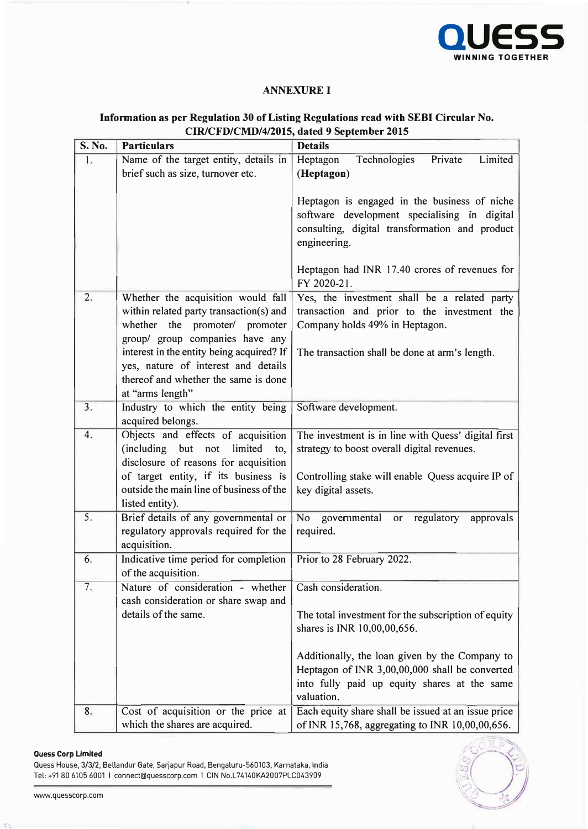

### **ANNEXUREI**

| <b>S. No.</b> | <b>Particulars</b>                                                                                                                                                                               | <b>Details</b>                                                                                                                                                                                                                 |
|---------------|--------------------------------------------------------------------------------------------------------------------------------------------------------------------------------------------------|--------------------------------------------------------------------------------------------------------------------------------------------------------------------------------------------------------------------------------|
| 1.            | Name of the target entity, details in                                                                                                                                                            | Heptagon<br>Technologies<br>Private<br>Limited                                                                                                                                                                                 |
|               | brief such as size, turnover etc.                                                                                                                                                                | (Heptagon)                                                                                                                                                                                                                     |
|               |                                                                                                                                                                                                  | Heptagon is engaged in the business of niche<br>software development specialising in digital<br>consulting, digital transformation and product<br>engineering.<br>Heptagon had INR 17.40 crores of revenues for<br>FY 2020-21. |
| 2.            | Whether the acquisition would fall                                                                                                                                                               |                                                                                                                                                                                                                                |
|               | within related party transaction(s) and<br>whether the promoter/ promoter<br>group/ group companies have any<br>interest in the entity being acquired? If<br>yes, nature of interest and details | Yes, the investment shall be a related party<br>transaction and prior to the investment the<br>Company holds 49% in Heptagon.<br>The transaction shall be done at arm's length.                                                |
|               | thereof and whether the same is done<br>at "arms length"                                                                                                                                         |                                                                                                                                                                                                                                |
| 3.            | Industry to which the entity being<br>acquired belongs.                                                                                                                                          | Software development.                                                                                                                                                                                                          |
| 4.            | Objects and effects of acquisition<br>(including but not<br>limited<br>to,<br>disclosure of reasons for acquisition<br>of target entity, if its business is                                      | The investment is in line with Quess' digital first<br>strategy to boost overall digital revenues.<br>Controlling stake will enable Quess acquire IP of                                                                        |
|               | outside the main line of business of the<br>listed entity).                                                                                                                                      | key digital assets.                                                                                                                                                                                                            |
| 5.            | Brief details of any governmental or<br>regulatory approvals required for the<br>acquisition.                                                                                                    | <b>No</b><br>governmental<br>regulatory<br>approvals<br>or<br>required.                                                                                                                                                        |
| 6.            | Indicative time period for completion<br>of the acquisition.                                                                                                                                     | Prior to 28 February 2022.                                                                                                                                                                                                     |
| 7.            | Nature of consideration - whether<br>cash consideration or share swap and<br>details of the same.                                                                                                | Cash consideration.<br>The total investment for the subscription of equity<br>shares is INR 10,00,00,656.                                                                                                                      |
|               |                                                                                                                                                                                                  | Additionally, the loan given by the Company to<br>Heptagon of INR 3,00,00,000 shall be converted<br>into fully paid up equity shares at the same<br>valuation.                                                                 |
| 8.            | Cost of acquisition or the price at<br>which the shares are acquired.                                                                                                                            | Each equity share shall be issued at an issue price<br>of INR 15,768, aggregating to INR 10,00,00,656.                                                                                                                         |

## **Information as per Regulation 30 of Listing Regulations read with SEBI Circular No. CIR/CFD/CMD/4/2015, dated 9 September 2015**

### **Ouess Corp Limited**

Quess House, 3/3/2, Bellandur Gate, Sarjapur Road, Bengaluru-560103, Karnataka, India Tel: +91 80 6105 6001 I connect@quesscorp.com I CIN No.L74140KA2007PLC043909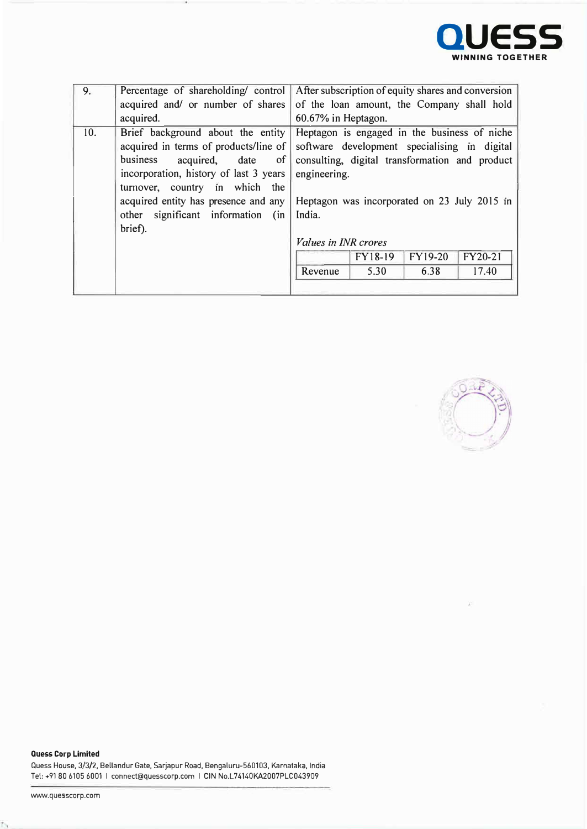

| 9.  | Percentage of shareholding/control     | After subscription of equity shares and conversion |
|-----|----------------------------------------|----------------------------------------------------|
|     | acquired and/ or number of shares      | of the loan amount, the Company shall hold         |
|     | acquired.                              | 60.67% in Heptagon.                                |
| 10. | Brief background about the entity      | Heptagon is engaged in the business of niche       |
|     | acquired in terms of products/line of  | software development specialising in digital       |
|     | acquired, date<br>business<br>$\sigma$ | consulting, digital transformation and product     |
|     | incorporation, history of last 3 years | engineering.                                       |
|     | turnover, country in which the         |                                                    |
|     | acquired entity has presence and any   | Heptagon was incorporated on 23 July 2015 in       |
|     | other significant information (in      | India.                                             |
|     | brief).                                |                                                    |
|     |                                        | <i>Values in INR crores</i>                        |
|     |                                        | <b>FY19-20</b><br><b>FY18-19</b><br>FY20-21        |
|     |                                        | 6.38<br>17.40<br>Revenue<br>5.30                   |
|     |                                        |                                                    |
|     |                                        |                                                    |



**Quess Corp Limited**  Quess House, 3/3/2, Bellandur Gate, Sarjapur Road, Bengaluru-560103, Karnataka, India Tel: +91 80 6105 6001 I connect@quesscorp.com I GIN No.L74140KA2007PLC043909

 $\mathsf{L}$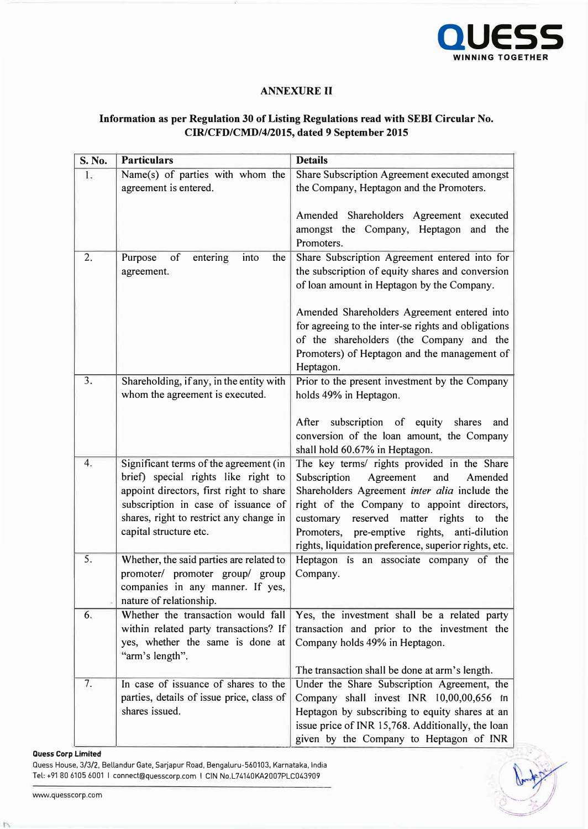

## **ANNEXURE II**

# **Information as per Regulation 30 of Listing Regulations read with SEBI Circular No. CIR/CFD/CMD/4/2015, dated 9 September 2015**

| S. No.           | <b>Particulars</b>                                                  | <b>Details</b>                                        |
|------------------|---------------------------------------------------------------------|-------------------------------------------------------|
| 1.               | Name(s) of parties with whom the                                    | Share Subscription Agreement executed amongst         |
|                  | agreement is entered.                                               | the Company, Heptagon and the Promoters.              |
|                  |                                                                     | Amended Shareholders Agreement executed               |
|                  |                                                                     | amongst the Company, Heptagon and the                 |
|                  |                                                                     | Promoters.                                            |
| 2.               | of<br>entering<br>Purpose<br>into<br>the                            | Share Subscription Agreement entered into for         |
|                  | agreement.                                                          | the subscription of equity shares and conversion      |
|                  |                                                                     | of loan amount in Heptagon by the Company.            |
|                  |                                                                     | Amended Shareholders Agreement entered into           |
|                  |                                                                     | for agreeing to the inter-se rights and obligations   |
|                  |                                                                     | of the shareholders (the Company and the              |
|                  |                                                                     | Promoters) of Heptagon and the management of          |
|                  |                                                                     | Heptagon.                                             |
| $\overline{3}$ . | Shareholding, if any, in the entity with                            | Prior to the present investment by the Company        |
|                  | whom the agreement is executed.                                     | holds 49% in Heptagon.                                |
|                  |                                                                     | After subscription of equity shares<br>and            |
|                  |                                                                     | conversion of the loan amount, the Company            |
|                  |                                                                     | shall hold 60.67% in Heptagon.                        |
| 4.               | Significant terms of the agreement (in                              | The key terms/ rights provided in the Share           |
|                  | brief) special rights like right to                                 | Subscription<br>Agreement<br>and<br>Amended           |
|                  | appoint directors, first right to share                             | Shareholders Agreement inter alia include the         |
|                  | subscription in case of issuance of                                 | right of the Company to appoint directors,            |
|                  | shares, right to restrict any change in                             | customary reserved matter rights to the               |
|                  | capital structure etc.                                              | Promoters, pre-emptive rights, anti-dilution          |
| 5.               |                                                                     | rights, liquidation preference, superior rights, etc. |
|                  | Whether, the said parties are related to                            | Heptagon is an associate company of the               |
|                  | promoter/ promoter group/ group<br>companies in any manner. If yes, | Company.                                              |
|                  | nature of relationship.                                             |                                                       |
| 6.               | Whether the transaction would fall                                  | Yes, the investment shall be a related party          |
|                  | within related party transactions? If                               | transaction and prior to the investment the           |
|                  | yes, whether the same is done at                                    | Company holds 49% in Heptagon.                        |
|                  | "arm's length".                                                     |                                                       |
|                  |                                                                     | The transaction shall be done at arm's length.        |
| 7.               | In case of issuance of shares to the                                | Under the Share Subscription Agreement, the           |
|                  | parties, details of issue price, class of                           | Company shall invest INR 10,00,00,656 in              |
|                  | shares issued.                                                      | Heptagon by subscribing to equity shares at an        |
|                  |                                                                     | issue price of INR 15,768. Additionally, the loan     |
|                  |                                                                     | given by the Company to Heptagon of INR               |

#### **Ouess Corp Limited**

Quess House, 3/3/2, Bellandur Gate, Sarjapur Road, Bengaluru-560103, Karnataka, India Tel: +91 80 6105 6001 I connect@quesscorp.com I CIN No.L74140KA2007PLC043909

ĥ.